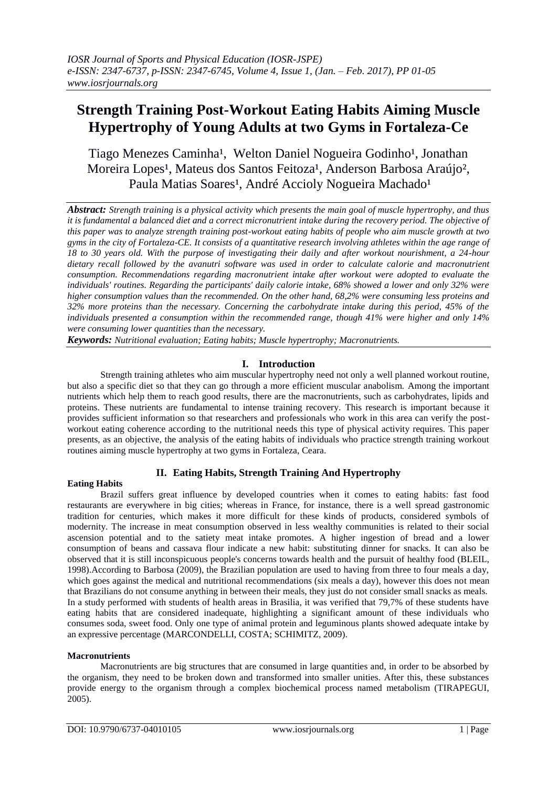# **Strength Training Post-Workout Eating Habits Aiming Muscle Hypertrophy of Young Adults at two Gyms in Fortaleza-Ce**

Tiago Menezes Caminha<sup>1</sup>, Welton Daniel Nogueira Godinho<sup>1</sup>, Jonathan Moreira Lopes<sup>1</sup>, Mateus dos Santos Feitoza<sup>1</sup>, Anderson Barbosa Araújo<sup>2</sup>, Paula Matias Soares<sup>1</sup>, André Accioly Nogueira Machado<sup>1</sup>

*Abstract: Strength training is a physical activity which presents the main goal of muscle hypertrophy, and thus it is fundamental a balanced diet and a correct micronutrient intake during the recovery period. The objective of this paper was to analyze strength training post-workout eating habits of people who aim muscle growth at two gyms in the city of Fortaleza-CE. It consists of a quantitative research involving athletes within the age range of 18 to 30 years old. With the purpose of investigating their daily and after workout nourishment, a 24-hour dietary recall followed by the avanutri software was used in order to calculate calorie and macronutrient consumption. Recommendations regarding macronutrient intake after workout were adopted to evaluate the individuals' routines. Regarding the participants' daily calorie intake, 68% showed a lower and only 32% were higher consumption values than the recommended. On the other hand, 68,2% were consuming less proteins and 32% more proteins than the necessary. Concerning the carbohydrate intake during this period, 45% of the individuals presented a consumption within the recommended range, though 41% were higher and only 14% were consuming lower quantities than the necessary.*

*Keywords: Nutritional evaluation; Eating habits; Muscle hypertrophy; Macronutrients.*

# **I. Introduction**

Strength training athletes who aim muscular hypertrophy need not only a well planned workout routine, but also a specific diet so that they can go through a more efficient muscular anabolism. Among the important nutrients which help them to reach good results, there are the macronutrients, such as carbohydrates, lipids and proteins. These nutrients are fundamental to intense training recovery. This research is important because it provides sufficient information so that researchers and professionals who work in this area can verify the postworkout eating coherence according to the nutritional needs this type of physical activity requires. This paper presents, as an objective, the analysis of the eating habits of individuals who practice strength training workout routines aiming muscle hypertrophy at two gyms in Fortaleza, Ceara.

# **II. Eating Habits, Strength Training And Hypertrophy**

#### **Eating Habits**

Brazil suffers great influence by developed countries when it comes to eating habits: fast food restaurants are everywhere in big cities; whereas in France, for instance, there is a well spread gastronomic tradition for centuries, which makes it more difficult for these kinds of products, considered symbols of modernity. The increase in meat consumption observed in less wealthy communities is related to their social ascension potential and to the satiety meat intake promotes. A higher ingestion of bread and a lower consumption of beans and cassava flour indicate a new habit: substituting dinner for snacks. It can also be observed that it is still inconspicuous people's concerns towards health and the pursuit of healthy food (BLEIL, 1998).According to Barbosa (2009), the Brazilian population are used to having from three to four meals a day, which goes against the medical and nutritional recommendations (six meals a day), however this does not mean that Brazilians do not consume anything in between their meals, they just do not consider small snacks as meals. In a study performed with students of health areas in Brasilia, it was verified that 79,7% of these students have eating habits that are considered inadequate, highlighting a significant amount of these individuals who consumes soda, sweet food. Only one type of animal protein and leguminous plants showed adequate intake by an expressive percentage (MARCONDELLI, COSTA; SCHIMITZ, 2009).

#### **Macronutrients**

Macronutrients are big structures that are consumed in large quantities and, in order to be absorbed by the organism, they need to be broken down and transformed into smaller unities. After this, these substances provide energy to the organism through a complex biochemical process named metabolism (TIRAPEGUI, 2005).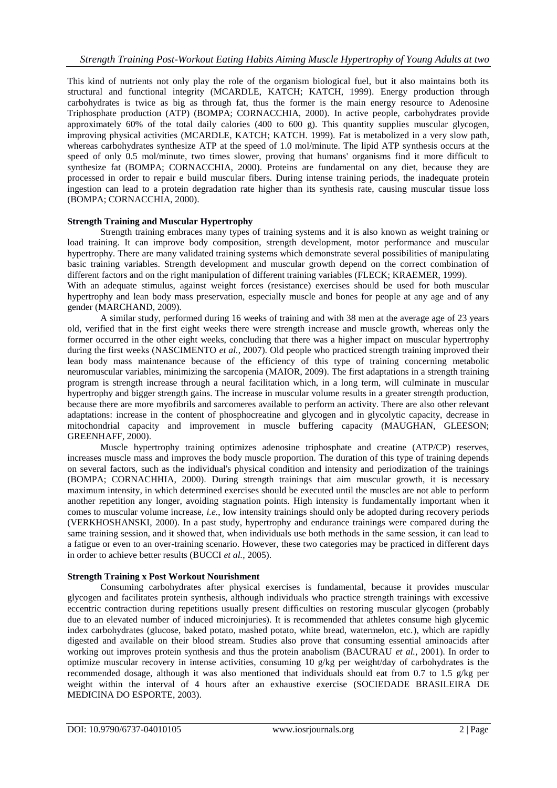This kind of nutrients not only play the role of the organism biological fuel, but it also maintains both its structural and functional integrity (MCARDLE, KATCH; KATCH, 1999). Energy production through carbohydrates is twice as big as through fat, thus the former is the main energy resource to Adenosine Triphosphate production (ATP) (BOMPA; CORNACCHIA, 2000). In active people, carbohydrates provide approximately 60% of the total daily calories (400 to 600 g). This quantity supplies muscular glycogen, improving physical activities (MCARDLE, KATCH; KATCH. 1999). Fat is metabolized in a very slow path, whereas carbohydrates synthesize ATP at the speed of 1.0 mol/minute. The lipid ATP synthesis occurs at the speed of only 0.5 mol/minute, two times slower, proving that humans' organisms find it more difficult to synthesize fat (BOMPA; CORNACCHIA, 2000). Proteins are fundamental on any diet, because they are processed in order to repair e build muscular fibers. During intense training periods, the inadequate protein ingestion can lead to a protein degradation rate higher than its synthesis rate, causing muscular tissue loss (BOMPA; CORNACCHIA, 2000).

#### **Strength Training and Muscular Hypertrophy**

Strength training embraces many types of training systems and it is also known as weight training or load training. It can improve body composition, strength development, motor performance and muscular hypertrophy. There are many validated training systems which demonstrate several possibilities of manipulating basic training variables. Strength development and muscular growth depend on the correct combination of different factors and on the right manipulation of different training variables (FLECK; KRAEMER, 1999). With an adequate stimulus, against weight forces (resistance) exercises should be used for both muscular

hypertrophy and lean body mass preservation, especially muscle and bones for people at any age and of any gender (MARCHAND, 2009).

A similar study, performed during 16 weeks of training and with 38 men at the average age of 23 years old, verified that in the first eight weeks there were strength increase and muscle growth, whereas only the former occurred in the other eight weeks, concluding that there was a higher impact on muscular hypertrophy during the first weeks (NASCIMENTO *et al.*, 2007). Old people who practiced strength training improved their lean body mass maintenance because of the efficiency of this type of training concerning metabolic neuromuscular variables, minimizing the sarcopenia (MAIOR, 2009). The first adaptations in a strength training program is strength increase through a neural facilitation which, in a long term, will culminate in muscular hypertrophy and bigger strength gains. The increase in muscular volume results in a greater strength production, because there are more myofibrils and sarcomeres available to perform an activity. There are also other relevant adaptations: increase in the content of phosphocreatine and glycogen and in glycolytic capacity, decrease in mitochondrial capacity and improvement in muscle buffering capacity (MAUGHAN, GLEESON; GREENHAFF, 2000).

Muscle hypertrophy training optimizes adenosine triphosphate and creatine (ATP/CP) reserves, increases muscle mass and improves the body muscle proportion. The duration of this type of training depends on several factors, such as the individual's physical condition and intensity and periodization of the trainings (BOMPA; CORNACHHIA, 2000). During strength trainings that aim muscular growth, it is necessary maximum intensity, in which determined exercises should be executed until the muscles are not able to perform another repetition any longer, avoiding stagnation points. High intensity is fundamentally important when it comes to muscular volume increase, *i.e.*, low intensity trainings should only be adopted during recovery periods (VERKHOSHANSKI, 2000). In a past study, hypertrophy and endurance trainings were compared during the same training session, and it showed that, when individuals use both methods in the same session, it can lead to a fatigue or even to an over-training scenario. However, these two categories may be practiced in different days in order to achieve better results (BUCCI *et al.*, 2005).

### **Strength Training x Post Workout Nourishment**

Consuming carbohydrates after physical exercises is fundamental, because it provides muscular glycogen and facilitates protein synthesis, although individuals who practice strength trainings with excessive eccentric contraction during repetitions usually present difficulties on restoring muscular glycogen (probably due to an elevated number of induced microinjuries). It is recommended that athletes consume high glycemic index carbohydrates (glucose, baked potato, mashed potato, white bread, watermelon, etc.), which are rapidly digested and available on their blood stream. Studies also prove that consuming essential aminoacids after working out improves protein synthesis and thus the protein anabolism (BACURAU *et al.*, 2001). In order to optimize muscular recovery in intense activities, consuming 10 g/kg per weight/day of carbohydrates is the recommended dosage, although it was also mentioned that individuals should eat from 0.7 to 1.5 g/kg per weight within the interval of 4 hours after an exhaustive exercise (SOCIEDADE BRASILEIRA DE MEDICINA DO ESPORTE, 2003).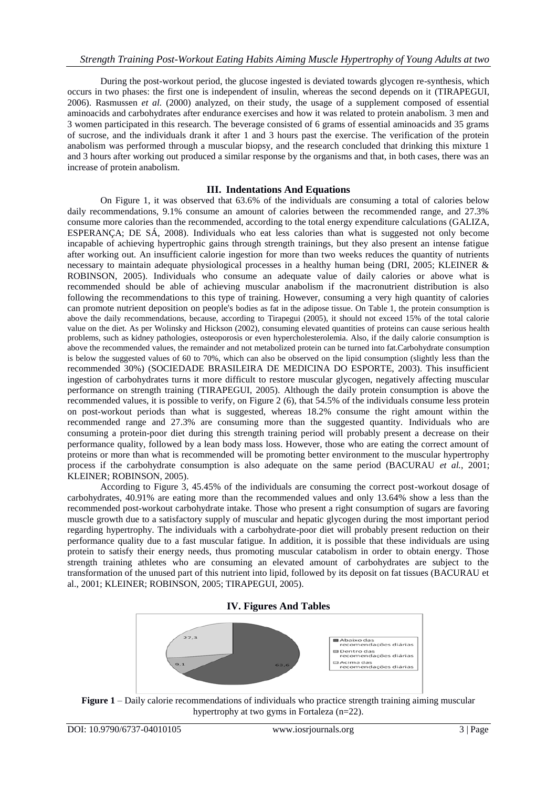During the post-workout period, the glucose ingested is deviated towards glycogen re-synthesis, which occurs in two phases: the first one is independent of insulin, whereas the second depends on it (TIRAPEGUI, 2006). Rasmussen *et al.* (2000) analyzed, on their study, the usage of a supplement composed of essential aminoacids and carbohydrates after endurance exercises and how it was related to protein anabolism. 3 men and 3 women participated in this research. The beverage consisted of 6 grams of essential aminoacids and 35 grams of sucrose, and the individuals drank it after 1 and 3 hours past the exercise. The verification of the protein anabolism was performed through a muscular biopsy, and the research concluded that drinking this mixture 1 and 3 hours after working out produced a similar response by the organisms and that, in both cases, there was an increase of protein anabolism.

## **III. Indentations And Equations**

On Figure 1, it was observed that 63.6% of the individuals are consuming a total of calories below daily recommendations, 9.1% consume an amount of calories between the recommended range, and 27.3% consume more calories than the recommended, according to the total energy expenditure calculations (GALIZA, ESPERANÇA; DE SÁ, 2008). Individuals who eat less calories than what is suggested not only become incapable of achieving hypertrophic gains through strength trainings, but they also present an intense fatigue after working out. An insufficient calorie ingestion for more than two weeks reduces the quantity of nutrients necessary to maintain adequate physiological processes in a healthy human being (DRI, 2005; KLEINER & ROBINSON, 2005). Individuals who consume an adequate value of daily calories or above what is recommended should be able of achieving muscular anabolism if the macronutrient distribution is also following the recommendations to this type of training. However, consuming a very high quantity of calories can promote nutrient deposition on people's bodies as fat in the adipose tissue. On Table 1, the protein consumption is above the daily recommendations, because, according to Tirapegui (2005), it should not exceed 15% of the total calorie value on the diet. As per Wolinsky and Hickson (2002), consuming elevated quantities of proteins can cause serious health problems, such as kidney pathologies, osteoporosis or even hypercholesterolemia. Also, if the daily calorie consumption is above the recommended values, the remainder and not metabolized protein can be turned into fat.Carbohydrate consumption is below the suggested values of 60 to 70%, which can also be observed on the lipid consumption (slightly less than the recommended 30%) (SOCIEDADE BRASILEIRA DE MEDICINA DO ESPORTE, 2003). This insufficient ingestion of carbohydrates turns it more difficult to restore muscular glycogen, negatively affecting muscular performance on strength training (TIRAPEGUI, 2005). Although the daily protein consumption is above the recommended values, it is possible to verify, on Figure 2 (6), that 54.5% of the individuals consume less protein on post-workout periods than what is suggested, whereas 18.2% consume the right amount within the recommended range and 27.3% are consuming more than the suggested quantity. Individuals who are consuming a protein-poor diet during this strength training period will probably present a decrease on their performance quality, followed by a lean body mass loss. However, those who are eating the correct amount of proteins or more than what is recommended will be promoting better environment to the muscular hypertrophy process if the carbohydrate consumption is also adequate on the same period (BACURAU *et al.*, 2001; KLEINER; ROBINSON, 2005).

According to Figure 3, 45.45% of the individuals are consuming the correct post-workout dosage of carbohydrates, 40.91% are eating more than the recommended values and only 13.64% show a less than the recommended post-workout carbohydrate intake. Those who present a right consumption of sugars are favoring muscle growth due to a satisfactory supply of muscular and hepatic glycogen during the most important period regarding hypertrophy. The individuals with a carbohydrate-poor diet will probably present reduction on their performance quality due to a fast muscular fatigue. In addition, it is possible that these individuals are using protein to satisfy their energy needs, thus promoting muscular catabolism in order to obtain energy. Those strength training athletes who are consuming an elevated amount of carbohydrates are subject to the transformation of the unused part of this nutrient into lipid, followed by its deposit on fat tissues (BACURAU et al., 2001; KLEINER; ROBINSON, 2005; TIRAPEGUI, 2005).

#### **IV. Figures And Tables**



**Figure 1** – Daily calorie recommendations of individuals who practice strength training aiming muscular hypertrophy at two gyms in Fortaleza (n=22).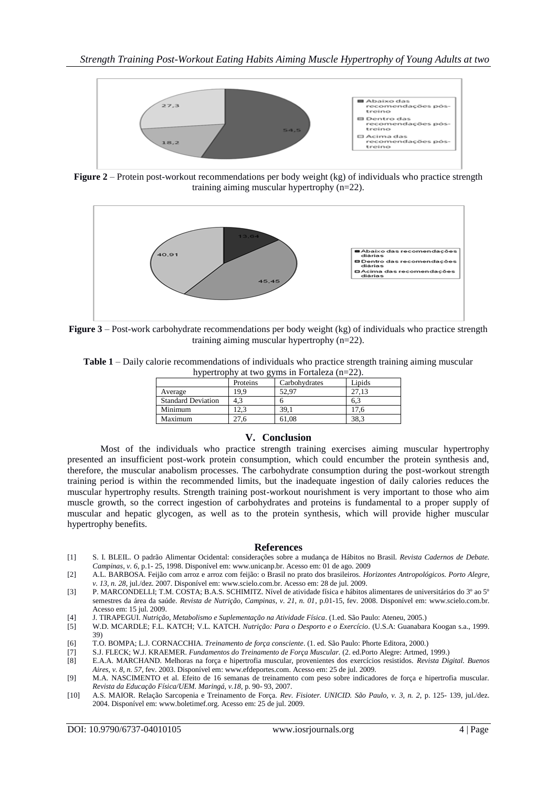

**Figure 2** – Protein post-workout recommendations per body weight (kg) of individuals who practice strength training aiming muscular hypertrophy (n=22).



**Figure 3** – Post-work carbohydrate recommendations per body weight (kg) of individuals who practice strength training aiming muscular hypertrophy (n=22).

**Table 1** – Daily calorie recommendations of individuals who practice strength training aiming muscular hypertrophy at two gyms in Fortaleza (n=22).

|                           | Proteins | Carbohydrates | Lipids |
|---------------------------|----------|---------------|--------|
| Average                   | 9.9      | 52.97         |        |
| <b>Standard Deviation</b> |          |               | 0.3    |
| Minimum                   | 2.3      | 39.1          | 7.6    |
| Maximum                   |          | 61.08         | 38.3   |

#### **V. Conclusion**

Most of the individuals who practice strength training exercises aiming muscular hypertrophy presented an insufficient post-work protein consumption, which could encumber the protein synthesis and, therefore, the muscular anabolism processes. The carbohydrate consumption during the post-workout strength training period is within the recommended limits, but the inadequate ingestion of daily calories reduces the muscular hypertrophy results. Strength training post-workout nourishment is very important to those who aim muscle growth, so the correct ingestion of carbohydrates and proteins is fundamental to a proper supply of muscular and hepatic glycogen, as well as to the protein synthesis, which will provide higher muscular hypertrophy benefits.

#### **References**

- [1] S. I. BLEIL. O padrão Alimentar Ocidental: considerações sobre a mudança de Hábitos no Brasil. *Revista Cadernos de Debate. Campinas, v. 6*, p.1- 25, 1998. Disponível em: www.unicanp.br. Acesso em: 01 de ago. 2009
- [2] A.L. BARBOSA. Feijão com arroz e arroz com feijão: o Brasil no prato dos brasileiros. *Horizontes Antropológicos. Porto Alegre, v. 13, n. 28*, jul./dez. 2007. Disponível em: www.scielo.com.br. Acesso em: 28 de jul. 2009.
- [3] P. MARCONDELLI; T.M. COSTA; B.A.S. SCHIMITZ. Nível de atividade física e hábitos alimentares de universitários do 3º ao 5º semestres da área da saúde. *Revista de Nutrição, Campinas, v. 21, n. 01*, p.01-15, fev. 2008. Disponível em: www.scielo.com.br. Acesso em: 15 jul. 2009.
- [4] J. TIRAPEGUI. *Nutrição, Metabolismo e Suplementação na Atividade Física*. (1.ed. São Paulo: Ateneu, 2005.)
- [5] W.D. MCARDLE; F.L. KATCH; V.L. KATCH. *Nutrição: Para o Desporto e o Exercício*. (U.S.A: Guanabara Koogan s.a., 1999. 39)
- [6] T.O. BOMPA; L.J. CORNACCHIA. *Treinamento de força consciente*. (1. ed. São Paulo: Phorte Editora, 2000.)
- [7] S.J. FLECK; W.J. KRAEMER. *Fundamentos do Treinamento de Força Muscular.* (2. ed.Porto Alegre: Artmed, 1999.)
- [8] E.A.A. MARCHAND. Melhoras na força e hipertrofia muscular, provenientes dos exercícios resistidos. *Revista Digital. Buenos Aires, v. 8, n. 57*, fev. 2003. Disponível em: www.efdeportes.com. Acesso em: 25 de jul. 2009.
- [9] M.A. NASCIMENTO et al. Efeito de 16 semanas de treinamento com peso sobre indicadores de força e hipertrofia muscular. *Revista da Educação Física/UEM. Maringá, v.18,* p. 90- 93, 2007.
- [10] A.S. MAIOR. Relação Sarcopenia e Treinamento de Força. *Rev. Fisioter. UNICID. São Paulo, v. 3, n. 2*, p. 125- 139, jul./dez. 2004. Disponível em: www.boletimef.org. Acesso em: 25 de jul. 2009.